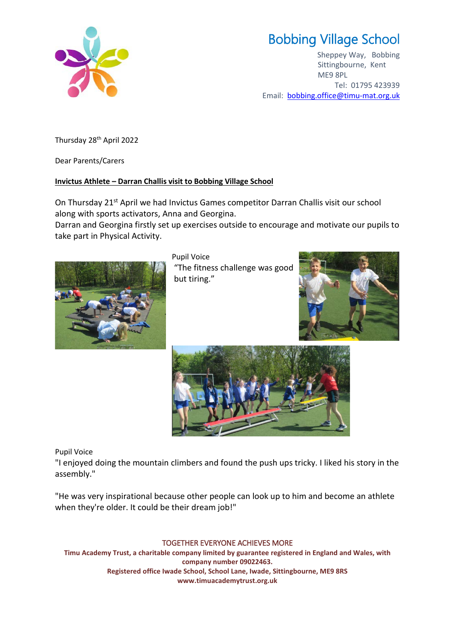

## Bobbing Village School

Sheppey Way, Bobbing Sittingbourne, Kent ME9 8PL Tel: 01795 423939 Email: [bobbing.office@timu-mat.org.uk](mailto:bobbing.office@timu-mat.org.uk)

Thursday 28<sup>th</sup> April 2022

Dear Parents/Carers

## **Invictus Athlete – Darran Challis visit to Bobbing Village School**

On Thursday 21<sup>st</sup> April we had Invictus Games competitor Darran Challis visit our school along with sports activators, Anna and Georgina.

Darran and Georgina firstly set up exercises outside to encourage and motivate our pupils to take part in Physical Activity.



Pupil Voice "The fitness challenge was good but tiring."





Pupil Voice

"I enjoyed doing the mountain climbers and found the push ups tricky. I liked his story in the assembly."

"He was very inspirational because other people can look up to him and become an athlete when they're older. It could be their dream job!"

## TOGETHER EVERYONE ACHIEVES MORE

**Timu Academy Trust, a charitable company limited by guarantee registered in England and Wales, with company number 09022463. Registered office Iwade School, School Lane, Iwade, Sittingbourne, ME9 8RS www.timuacademytrust.org.uk**